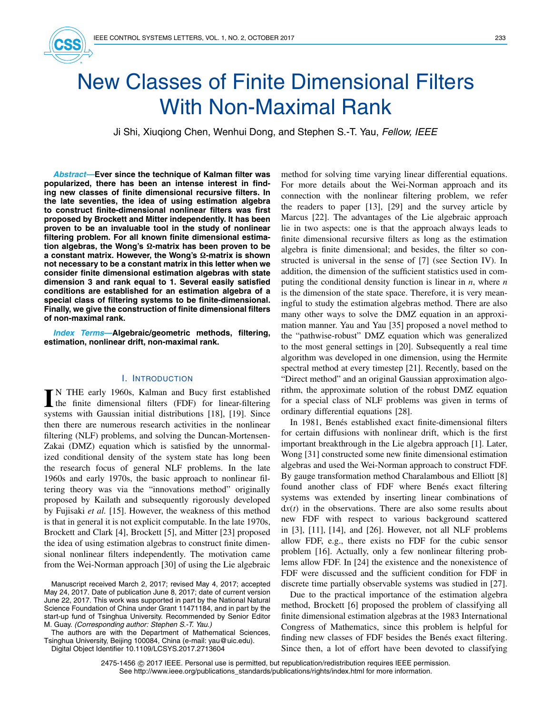

# New Classes of Finite Dimensional Filters With Non-Maximal Rank

Ji Shi, Xiuqiong Chen, Wenhui Dong, and Stephen S.-T. Yau, *Fellow, IEEE*

*Abstract***—Ever since the technique of Kalman filter was popularized, there has been an intense interest in finding new classes of finite dimensional recursive filters. In the late seventies, the idea of using estimation algebra to construct finite-dimensional nonlinear filters was first proposed by Brockett and Mitter independently. It has been proven to be an invaluable tool in the study of nonlinear filtering problem. For all known finite dimensional estima**tion algebras, the Wong's Ω-matrix has been proven to be **a** constant matrix. However, the Wong's Ω-matrix is shown **not necessary to be a constant matrix in this letter when we consider finite dimensional estimation algebras with state dimension 3 and rank equal to 1. Several easily satisfied conditions are established for an estimation algebra of a special class of filtering systems to be finite-dimensional. Finally, we give the construction of finite dimensional filters of non-maximal rank.**

*Index Terms***—Algebraic/geometric methods, filtering, estimation, nonlinear drift, non-maximal rank.**

## I. INTRODUCTION

IN THE early 1960s, Kalman and Bucy first established<br>the finite dimensional filters (FDF) for linear-filtering N THE early 1960s, Kalman and Bucy first established systems with Gaussian initial distributions [18], [19]. Since then there are numerous research activities in the nonlinear filtering (NLF) problems, and solving the Duncan-Mortensen-Zakai (DMZ) equation which is satisfied by the unnormalized conditional density of the system state has long been the research focus of general NLF problems. In the late 1960s and early 1970s, the basic approach to nonlinear filtering theory was via the "innovations method" originally proposed by Kailath and subsequently rigorously developed by Fujisaki *et al.* [15]. However, the weakness of this method is that in general it is not explicit computable. In the late 1970s, Brockett and Clark [4], Brockett [5], and Mitter [23] proposed the idea of using estimation algebras to construct finite dimensional nonlinear filters independently. The motivation came from the Wei-Norman approach [30] of using the Lie algebraic

The authors are with the Department of Mathematical Sciences, Tsinghua University, Beijing 100084, China (e-mail: yau@uic.edu).

Digital Object Identifier 10.1109/LCSYS.2017.2713604

method for solving time varying linear differential equations. For more details about the Wei-Norman approach and its connection with the nonlinear filtering problem, we refer the readers to paper [13], [29] and the survey article by Marcus [22]. The advantages of the Lie algebraic approach lie in two aspects: one is that the approach always leads to finite dimensional recursive filters as long as the estimation algebra is finite dimensional; and besides, the filter so constructed is universal in the sense of [7] (see Section IV). In addition, the dimension of the sufficient statistics used in computing the conditional density function is linear in *n*, where *n* is the dimension of the state space. Therefore, it is very meaningful to study the estimation algebras method. There are also many other ways to solve the DMZ equation in an approximation manner. Yau and Yau [35] proposed a novel method to the "pathwise-robust" DMZ equation which was generalized to the most general settings in [20]. Subsequently a real time algorithm was developed in one dimension, using the Hermite spectral method at every timestep [21]. Recently, based on the "Direct method" and an original Gaussian approximation algorithm, the approximate solution of the robust DMZ equation for a special class of NLF problems was given in terms of ordinary differential equations [28].

In 1981, Benés established exact finite-dimensional filters for certain diffusions with nonlinear drift, which is the first important breakthrough in the Lie algebra approach [1]. Later, Wong [31] constructed some new finite dimensional estimation algebras and used the Wei-Norman approach to construct FDF. By gauge transformation method Charalambous and Elliott [8] found another class of FDF where Benés exact filtering systems was extended by inserting linear combinations of d*x*(*t*) in the observations. There are also some results about new FDF with respect to various background scattered in [3], [11], [14], and [26]. However, not all NLF problems allow FDF, e.g., there exists no FDF for the cubic sensor problem [16]. Actually, only a few nonlinear filtering problems allow FDF. In [24] the existence and the nonexistence of FDF were discussed and the sufficient condition for FDF in discrete time partially observable systems was studied in [27].

Due to the practical importance of the estimation algebra method, Brockett [6] proposed the problem of classifying all finite dimensional estimation algebras at the 1983 International Congress of Mathematics, since this problem is helpful for finding new classes of FDF besides the Benés exact filtering. Since then, a lot of effort have been devoted to classifying

2475-1456 © 2017 IEEE. Personal use is permitted, but republication/redistribution requires IEEE permission. See http://www.ieee.org/publications\_standards/publications/rights/index.html for more information.

Manuscript received March 2, 2017; revised May 4, 2017; accepted May 24, 2017. Date of publication June 8, 2017; date of current version June 22, 2017. This work was supported in part by the National Natural Science Foundation of China under Grant 11471184, and in part by the start-up fund of Tsinghua University. Recommended by Senior Editor M. Guay. *(Corresponding author: Stephen S.-T. Yau.)*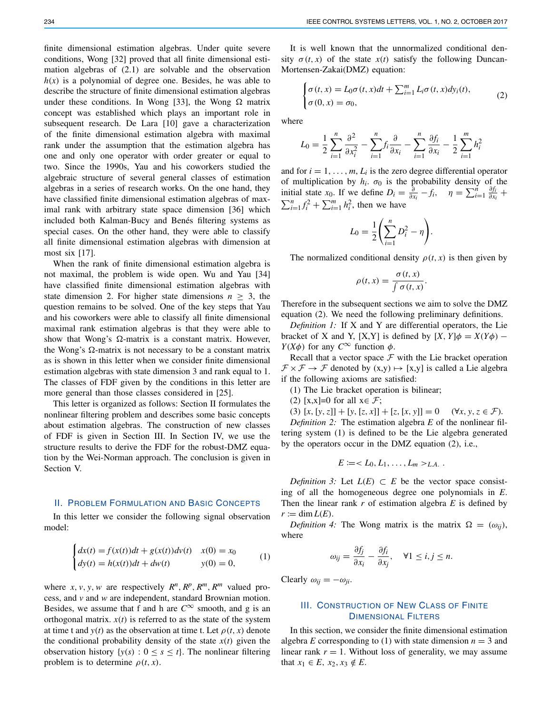finite dimensional estimation algebras. Under quite severe conditions, Wong [32] proved that all finite dimensional estimation algebras of (2.1) are solvable and the observation  $h(x)$  is a polynomial of degree one. Besides, he was able to describe the structure of finite dimensional estimation algebras under these conditions. In Wong [33], the Wong  $\Omega$  matrix concept was established which plays an important role in subsequent research. De Lara [10] gave a characterization of the finite dimensional estimation algebra with maximal rank under the assumption that the estimation algebra has one and only one operator with order greater or equal to two. Since the 1990s, Yau and his coworkers studied the algebraic structure of several general classes of estimation algebras in a series of research works. On the one hand, they have classified finite dimensional estimation algebras of maximal rank with arbitrary state space dimension [36] which included both Kalman-Bucy and Benés filtering systems as special cases. On the other hand, they were able to classify all finite dimensional estimation algebras with dimension at most six [17].

When the rank of finite dimensional estimation algebra is not maximal, the problem is wide open. Wu and Yau [34] have classified finite dimensional estimation algebras with state dimension 2. For higher state dimensions  $n \geq 3$ , the question remains to be solved. One of the key steps that Yau and his coworkers were able to classify all finite dimensional maximal rank estimation algebras is that they were able to show that Wong's  $\Omega$ -matrix is a constant matrix. However, the Wong's  $\Omega$ -matrix is not necessary to be a constant matrix as is shown in this letter when we consider finite dimensional estimation algebras with state dimension 3 and rank equal to 1. The classes of FDF given by the conditions in this letter are more general than those classes considered in [25].

This letter is organized as follows: Section II formulates the nonlinear filtering problem and describes some basic concepts about estimation algebras. The construction of new classes of FDF is given in Section III. In Section IV, we use the structure results to derive the FDF for the robust-DMZ equation by the Wei-Norman approach. The conclusion is given in Section V.

## II. PROBLEM FORMULATION AND BASIC CONCEPTS

In this letter we consider the following signal observation model:

$$
\begin{cases} dx(t) = f(x(t))dt + g(x(t))dv(t) & x(0) = x_0 \\ dy(t) = h(x(t))dt + dw(t) & y(0) = 0, \end{cases}
$$
 (1)

where *x*, *v*, *y*, *w* are respectively  $R^n$ ,  $R^p$ ,  $R^m$ ,  $R^m$  valued process, and *v* and *w* are independent, standard Brownian motion. Besides, we assume that f and h are  $C^{\infty}$  smooth, and g is an orthogonal matrix.  $x(t)$  is referred to as the state of the system at time t and  $y(t)$  as the observation at time t. Let  $\rho(t, x)$  denote the conditional probability density of the state  $x(t)$  given the observation history  $\{y(s): 0 \le s \le t\}$ . The nonlinear filtering problem is to determine  $\rho(t, x)$ .

It is well known that the unnormalized conditional density  $\sigma(t, x)$  of the state  $x(t)$  satisfy the following Duncan-Mortensen-Zakai(DMZ) equation:

$$
\begin{cases}\n\sigma(t,x) = L_0 \sigma(t,x) dt + \sum_{i=1}^m L_i \sigma(t,x) dy_i(t), \\
\sigma(0,x) = \sigma_0,\n\end{cases} \tag{2}
$$

where

$$
L_0 = \frac{1}{2} \sum_{i=1}^n \frac{\partial^2}{\partial x_i^2} - \sum_{i=1}^n f_i \frac{\partial}{\partial x_i} - \sum_{i=1}^n \frac{\partial f_i}{\partial x_i} - \frac{1}{2} \sum_{i=1}^m h_i^2
$$

and for  $i = 1, \ldots, m, L_i$  is the zero degree differential operator of multiplication by  $h_i$ .  $\sigma_0$  is the probability density of the initial state *x*<sub>0</sub>. If we define  $D_i = \frac{\partial}{\partial x_i} - f_i$ ,  $\eta = \sum_{i=1}^n \frac{\partial f_i}{\partial x_i} + f_i$  $\sum_{i=1}^{n} f_i^2 + \sum_{i=1}^{m} h_i^2$ , then we have

$$
L_0 = \frac{1}{2} \left( \sum_{i=1}^n D_i^2 - \eta \right)
$$

The normalized conditional density  $\rho(t, x)$  is then given by

.

$$
\rho(t,x) = \frac{\sigma(t,x)}{\int \sigma(t,x)}.
$$

Therefore in the subsequent sections we aim to solve the DMZ equation (2). We need the following preliminary definitions.

*Definition 1:* If X and Y are differential operators, the Lie bracket of X and Y, [X,Y] is defined by  $[X, Y]\phi = X(Y\phi)$  – *Y*(*X* $\phi$ ) for any *C*<sup>∞</sup> function  $\phi$ .

Recall that a vector space  $F$  with the Lie bracket operation  $\mathcal{F} \times \mathcal{F} \to \mathcal{F}$  denoted by  $(x,y) \mapsto [x,y]$  is called a Lie algebra if the following axioms are satisfied:

(1) The Lie bracket operation is bilinear;

(2) [x,x]=0 for all  $x \in \mathcal{F}$ ;

(3)  $[x, [y, z]] + [y, [z, x]] + [z, [x, y]] = 0 \quad (\forall x, y, z \in \mathcal{F}).$ 

*Definition 2:* The estimation algebra *E* of the nonlinear filtering system (1) is defined to be the Lie algebra generated by the operators occur in the DMZ equation (2), i.e.,

$$
E:=_{l.a.}.< math="">_{l.a.}.<>
$$

*Definition 3:* Let  $L(E) \subset E$  be the vector space consisting of all the homogeneous degree one polynomials in *E*. Then the linear rank *r* of estimation algebra *E* is defined by  $r \coloneqq \dim L(E)$ .

*Definition 4:* The Wong matrix is the matrix  $\Omega = (\omega_{ij})$ , where

$$
\omega_{ij} = \frac{\partial f_j}{\partial x_i} - \frac{\partial f_i}{\partial x_j}, \quad \forall 1 \le i, j \le n.
$$

Clearly  $\omega_{ij} = -\omega_{ji}$ .

## III. CONSTRUCTION OF NEW CLASS OF FINITE DIMENSIONAL FILTERS

In this section, we consider the finite dimensional estimation algebra *E* corresponding to (1) with state dimension  $n = 3$  and linear rank  $r = 1$ . Without loss of generality, we may assume that *x*<sub>1</sub> ∈ *E*, *x*<sub>2</sub>, *x*<sub>3</sub> ∉ *E*.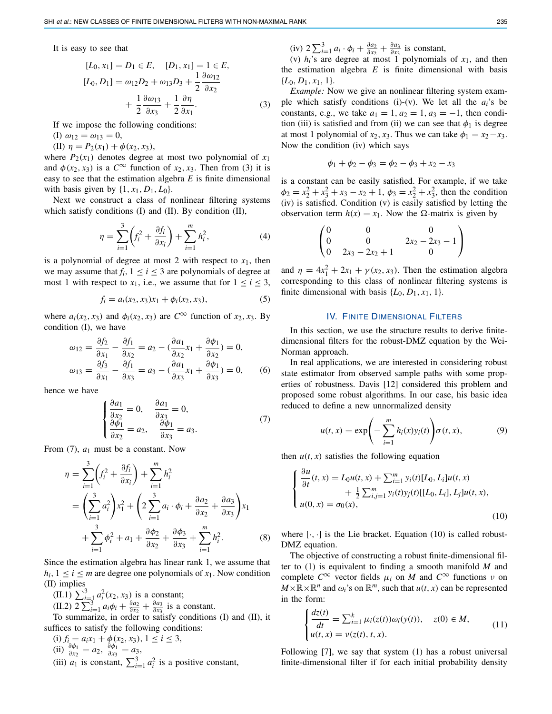It is easy to see that

$$
[L_0, x_1] = D_1 \in E, \quad [D_1, x_1] = 1 \in E, [L_0, D_1] = \omega_{12}D_2 + \omega_{13}D_3 + \frac{1}{2}\frac{\partial \omega_{12}}{\partial x_2} + \frac{1}{2}\frac{\partial \omega_{13}}{\partial x_3} + \frac{1}{2}\frac{\partial \eta}{\partial x_1}.
$$
 (3)

If we impose the following conditions:

(I)  $\omega_{12} = \omega_{13} = 0$ ,

(II)  $\eta = P_2(x_1) + \phi(x_2, x_3)$ ,

where  $P_2(x_1)$  denotes degree at most two polynomial of  $x_1$ and  $\phi(x_2, x_3)$  is a  $C^{\infty}$  function of  $x_2, x_3$ . Then from (3) it is easy to see that the estimation algebra *E* is finite dimensional with basis given by  $\{1, x_1, D_1, L_0\}$ .

Next we construct a class of nonlinear filtering systems which satisfy conditions (I) and (II). By condition (II),

$$
\eta = \sum_{i=1}^{3} \left( f_i^2 + \frac{\partial f_i}{\partial x_i} \right) + \sum_{i=1}^{m} h_i^2, \tag{4}
$$

is a polynomial of degree at most 2 with respect to  $x_1$ , then we may assume that  $f_i$ ,  $1 \le i \le 3$  are polynomials of degree at most 1 with respect to  $x_1$ , i.e., we assume that for  $1 \le i \le 3$ ,

$$
f_i = a_i(x_2, x_3)x_1 + \phi_i(x_2, x_3),
$$
\n(5)

where  $a_i(x_2, x_3)$  and  $\phi_i(x_2, x_3)$  are  $C^{\infty}$  function of  $x_2, x_3$ . By condition (I), we have

$$
\omega_{12} = \frac{\partial f_2}{\partial x_1} - \frac{\partial f_1}{\partial x_2} = a_2 - \left(\frac{\partial a_1}{\partial x_2} x_1 + \frac{\partial \phi_1}{\partial x_2}\right) = 0,
$$
  

$$
\omega_{13} = \frac{\partial f_3}{\partial x_1} - \frac{\partial f_1}{\partial x_3} = a_3 - \left(\frac{\partial a_1}{\partial x_3} x_1 + \frac{\partial \phi_1}{\partial x_3}\right) = 0,
$$
 (6)

hence we have

$$
\begin{cases}\n\frac{\partial a_1}{\partial x_2} = 0, & \frac{\partial a_1}{\partial x_3} = 0, \\
\frac{\partial \phi_1}{\partial x_2} = a_2, & \frac{\partial \phi_1}{\partial x_3} = a_3.\n\end{cases}
$$
\n(7)

From (7), *a*<sup>1</sup> must be a constant. Now

$$
\eta = \sum_{i=1}^{3} \left( f_i^2 + \frac{\partial f_i}{\partial x_i} \right) + \sum_{i=1}^{m} h_i^2
$$
  
=  $\left( \sum_{i=1}^{3} a_i^2 \right) x_1^2 + \left( 2 \sum_{i=1}^{3} a_i \cdot \phi_i + \frac{\partial a_2}{\partial x_2} + \frac{\partial a_3}{\partial x_3} \right) x_1$   
+  $\sum_{i=1}^{3} \phi_i^2 + a_1 + \frac{\partial \phi_2}{\partial x_2} + \frac{\partial \phi_3}{\partial x_3} + \sum_{i=1}^{m} h_i^2.$  (8)

Since the estimation algebra has linear rank 1, we assume that  $h_i$ ,  $1 \le i \le m$  are degree one polynomials of  $x_1$ . Now condition (II) implies

 $(II.1)$   $\sum_{i=1}^{3} a_i^2(x_2, x_3)$  is a constant;

 $\frac{\partial u}{\partial x}$   $\sum_{i=1}^{3} a_i \phi_i + \frac{\partial a_2}{\partial x_2} + \frac{\partial a_3}{\partial x_3}$  is a constant.

To summarize, in order to satisfy conditions (I) and (II), it suffices to satisfy the following conditions:

 $(i) f_i = a_i x_1 + \phi(x_2, x_3), 1 \le i \le 3,$ (ii)  $\frac{\partial \phi_1}{\partial x_2} = a_2$ ,  $\frac{\partial \phi_1}{\partial x_3} = a_3$ , (iii)  $a_1$  is constant,  $\sum_{i=1}^3 a_i^2$  is a positive constant,  $(iv)$  2  $\sum_{i=1}^{3} a_i \cdot \phi_i + \frac{\partial a_2}{\partial x_2} + \frac{\partial a_3}{\partial x_3}$  is constant,

(v)  $h_i$ 's are degree at most 1 polynomials of  $x_1$ , and then the estimation algebra  $E$  is finite dimensional with basis {*L*0, *D*1, *x*1, 1}.

*Example:* Now we give an nonlinear filtering system example which satisfy conditions (i)-(v). We let all the *ai*'s be constants, e.g., we take  $a_1 = 1$ ,  $a_2 = 1$ ,  $a_3 = -1$ , then condition (iii) is satisfied and from (ii) we can see that  $\phi_1$  is degree at most 1 polynomial of  $x_2$ ,  $x_3$ . Thus we can take  $\phi_1 = x_2 - x_3$ . Now the condition (iv) which says

$$
\phi_1 + \phi_2 - \phi_3 = \phi_2 - \phi_3 + x_2 - x_3
$$

is a constant can be easily satisfied. For example, if we take  $\phi_2 = x_2^2 + x_3^2 + x_3 - x_2 + 1$ ,  $\phi_3 = x_2^2 + x_3^2$ , then the condition (iv) is satisfied. Condition (v) is easily satisfied by letting the observation term  $h(x) = x_1$ . Now the  $\Omega$ -matrix is given by

$$
\begin{pmatrix}\n0 & 0 & 0 \\
0 & 0 & 2x_2 - 2x_3 - 1 \\
0 & 2x_3 - 2x_2 + 1 & 0\n\end{pmatrix}
$$

and  $\eta = 4x_1^2 + 2x_1 + \gamma(x_2, x_3)$ . Then the estimation algebra corresponding to this class of nonlinear filtering systems is finite dimensional with basis  $\{L_0, D_1, x_1, 1\}$ .

## IV. FINITE DIMENSIONAL FILTERS

In this section, we use the structure results to derive finitedimensional filters for the robust-DMZ equation by the Wei-Norman approach.

In real applications, we are interested in considering robust state estimator from observed sample paths with some properties of robustness. Davis [12] considered this problem and proposed some robust algorithms. In our case, his basic idea reduced to define a new unnormalized density

$$
u(t,x) = \exp\left(-\sum_{i=1}^{m} h_i(x) y_i(t)\right) \sigma(t,x), \tag{9}
$$

then  $u(t, x)$  satisfies the following equation

$$
\begin{cases} \frac{\partial u}{\partial t}(t,x) = L_0 u(t,x) + \sum_{i=1}^m y_i(t) [L_0, L_i] u(t,x) \\ + \frac{1}{2} \sum_{i,j=1}^m y_i(t) y_j(t) [[L_0, L_i], L_j] u(t,x), \\ u(0,x) = \sigma_0(x), \end{cases}
$$
\n(10)

where  $[\cdot, \cdot]$  is the Lie bracket. Equation (10) is called robust-DMZ equation.

The objective of constructing a robust finite-dimensional filter to (1) is equivalent to finding a smooth manifold *M* and complete  $C^{\infty}$  vector fields  $\mu_i$  on *M* and  $C^{\infty}$  functions  $\nu$  on  $M \times \mathbb{R} \times \mathbb{R}^n$  and  $\omega_i$ 's on  $\mathbb{R}^m$ , such that  $u(t, x)$  can be represented in the form:

$$
\begin{cases}\n\frac{dz(t)}{dt} = \sum_{i=1}^{k} \mu_i(z(t))\omega_i(y(t)), & z(0) \in M, \\
u(t, x) = v(z(t), t, x).\n\end{cases}
$$
\n(11)

Following [7], we say that system (1) has a robust universal finite-dimensional filter if for each initial probability density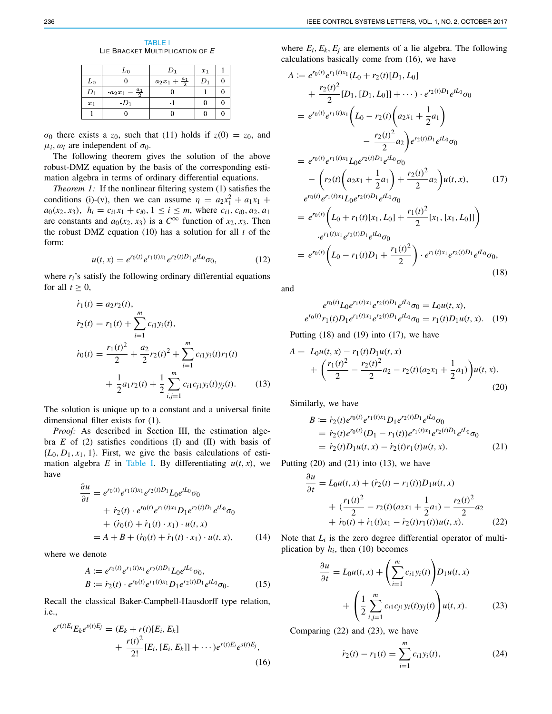TABLE I LIE BRACKET MULTIPLICATION OF *E*

|       | $_{L_0}$                    |                        | $x_1$ |  |
|-------|-----------------------------|------------------------|-------|--|
| $L_0$ |                             | $a_2x_1+\frac{a_1}{2}$ |       |  |
|       | $\frac{a_1}{2}$<br>$a_2x_1$ |                        |       |  |
| $x_1$ | -D1                         |                        |       |  |
|       |                             |                        |       |  |

 $\sigma_0$  there exists a  $z_0$ , such that (11) holds if  $z(0) = z_0$ , and  $\mu_i$ ,  $\omega_i$  are independent of  $\sigma_0$ .

The following theorem gives the solution of the above robust-DMZ equation by the basis of the corresponding estimation algebra in terms of ordinary differential equations.

*Theorem 1:* If the nonlinear filtering system (1) satisfies the conditions (i)-(v), then we can assume  $\eta = a_2 x_1^2 + a_1 x_1 +$  $a_0(x_2, x_3)$ ,  $h_i = c_{i1}x_1 + c_{i0}$ ,  $1 \le i \le m$ , where  $c_{i1}$ ,  $c_{i0}$ ,  $a_2$ ,  $a_1$ are constants and  $a_0(x_2, x_3)$  is a  $C^{\infty}$  function of  $x_2, x_3$ . Then the robust DMZ equation (10) has a solution for all *t* of the form:

$$
u(t,x) = e^{r_0(t)} e^{r_1(t)x_1} e^{r_2(t)D_1} e^{tL_0} \sigma_0, \tag{12}
$$

where  $r_i$ 's satisfy the following ordinary differential equations for all  $t \geq 0$ ,

$$
\dot{r}_1(t) = a_2 r_2(t),
$$
\n
$$
\dot{r}_2(t) = r_1(t) + \sum_{i=1}^m c_{i1} y_i(t),
$$
\n
$$
\dot{r}_0(t) = \frac{r_1(t)^2}{2} + \frac{a_2}{2} r_2(t)^2 + \sum_{i=1}^m c_{i1} y_i(t) r_1(t)
$$
\n
$$
+ \frac{1}{2} a_1 r_2(t) + \frac{1}{2} \sum_{i,j=1}^m c_{i1} c_{j1} y_i(t) y_j(t).
$$
\n(13)

The solution is unique up to a constant and a universal finite dimensional filter exists for (1).

*Proof:* As described in Section III, the estimation algebra *E* of (2) satisfies conditions (I) and (II) with basis of  ${L_0, D_1, x_1, 1}$ . First, we give the basis calculations of estimation algebra *E* in Table I. By differentiating  $u(t, x)$ , we have

$$
\frac{\partial u}{\partial t} = e^{r_0(t)} e^{r_1(t)x_1} e^{r_2(t)D_1} L_0 e^{tL_0} \sigma_0 \n+ \dot{r}_2(t) \cdot e^{r_0(t)} e^{r_1(t)x_1} D_1 e^{r_2(t)D_1} e^{tL_0} \sigma_0 \n+ (\dot{r}_0(t) + \dot{r}_1(t) \cdot x_1) \cdot u(t, x) \n= A + B + (\dot{r}_0(t) + \dot{r}_1(t) \cdot x_1) \cdot u(t, x), \qquad (14)
$$

where we denote

$$
A := e^{r_0(t)} e^{r_1(t)x_1} e^{r_2(t)D_1} L_0 e^{tL_0} \sigma_0,
$$
  
\n
$$
B := \dot{r}_2(t) \cdot e^{r_0(t)} e^{r_1(t)x_1} D_1 e^{r_2(t)D_1} e^{tL_0} \sigma_0.
$$
\n(15)

Recall the classical Baker-Campbell-Hausdorff type relation, i.e.,

$$
e^{r(t)E_i}E_ke^{s(t)E_j} = (E_k + r(t)[E_i, E_k] + \frac{r(t)^2}{2!}[E_i, [E_i, E_k]] + \cdots)e^{r(t)E_i}e^{s(t)E_j},
$$
\n(16)

where  $E_i$ ,  $E_k$ ,  $E_j$  are elements of a lie algebra. The following calculations basically come from (16), we have

$$
A := e^{r_0(t)} e^{r_1(t)x_1} (L_0 + r_2(t)[D_1, L_0]
$$
  
+  $\frac{r_2(t)^2}{2} [D_1, [D_1, L_0]] + \cdots) \cdot e^{r_2(t)D_1} e^{tL_0} \sigma_0$   
=  $e^{r_0(t)} e^{r_1(t)x_1} (L_0 - r_2(t) (a_2x_1 + \frac{1}{2}a_1)$   
-  $\frac{r_2(t)^2}{2} a_2 e^{r_2(t)D_1} e^{tL_0} \sigma_0$   
=  $e^{r_0(t)} e^{r_1(t)x_1} L_0 e^{r_2(t)D_1} e^{tL_0} \sigma_0$   
-  $(r_2(t) (a_2x_1 + \frac{1}{2}a_1) + \frac{r_2(t)^2}{2} a_2 e^{tL_0} \sigma_0$   
=  $e^{r_0(t)} (L_0 + r_1(t)[x_1, L_0] + \frac{r_1(t)^2}{2} [x_1, [x_1, L_0]] )$   
 $\cdot e^{r_1(t)x_1} e^{r_2(t)D_1} e^{tL_0} \sigma_0$   
=  $e^{r_0(t)} (L_0 - r_1(t)D_1 + \frac{r_1(t)^2}{2}) \cdot e^{r_1(t)x_1} e^{r_2(t)D_1} e^{tL_0} \sigma_0$ , (18)

and

$$
e^{r_0(t)}L_0e^{r_1(t)x_1}e^{r_2(t)D_1}e^{tL_0}\sigma_0 = L_0u(t, x),
$$
  

$$
e^{r_0(t)}r_1(t)D_1e^{r_1(t)x_1}e^{r_2(t)D_1}e^{tL_0}\sigma_0 = r_1(t)D_1u(t, x).
$$
 (19)

Putting  $(18)$  and  $(19)$  into  $(17)$ , we have

$$
A = L_0 u(t, x) - r_1(t) D_1 u(t, x)
$$
  
+ 
$$
\left(\frac{r_1(t)^2}{2} - \frac{r_2(t)^2}{2} a_2 - r_2(t) (a_2 x_1 + \frac{1}{2} a_1)\right) u(t, x).
$$
 (20)

Similarly, we have

$$
B := i_2(t)e^{r_0(t)}e^{r_1(t)x_1}D_1e^{r_2(t)D_1}e^{tL_0}\sigma_0
$$
  
=  $i_2(t)e^{r_0(t)}(D_1 - r_1(t))e^{r_1(t)x_1}e^{r_2(t)D_1}e^{tL_0}\sigma_0$   
=  $i_2(t)D_1u(t, x) - i_2(t)r_1(t)u(t, x).$  (21)

Putting  $(20)$  and  $(21)$  into  $(13)$ , we have

$$
\frac{\partial u}{\partial t} = L_0 u(t, x) + (\dot{r}_2(t) - r_1(t))D_1 u(t, x) \n+ (\frac{r_1(t)^2}{2} - r_2(t)(a_2 x_1 + \frac{1}{2}a_1) - \frac{r_2(t)^2}{2}a_2 \n+ \dot{r}_0(t) + \dot{r}_1(t) x_1 - \dot{r}_2(t) r_1(t) u(t, x).
$$
\n(22)

Note that  $L_i$  is the zero degree differential operator of multiplication by  $h_i$ , then (10) becomes

$$
\frac{\partial u}{\partial t} = L_0 u(t, x) + \left(\sum_{i=1}^m c_{i1} y_i(t)\right) D_1 u(t, x)
$$

$$
+ \left(\frac{1}{2} \sum_{i,j=1}^m c_{i1} c_{j1} y_i(t) y_j(t)\right) u(t, x).
$$
(23)

Comparing (22) and (23), we have

$$
\dot{r}_2(t) - r_1(t) = \sum_{i=1}^{m} c_{i1} y_i(t), \qquad (24)
$$